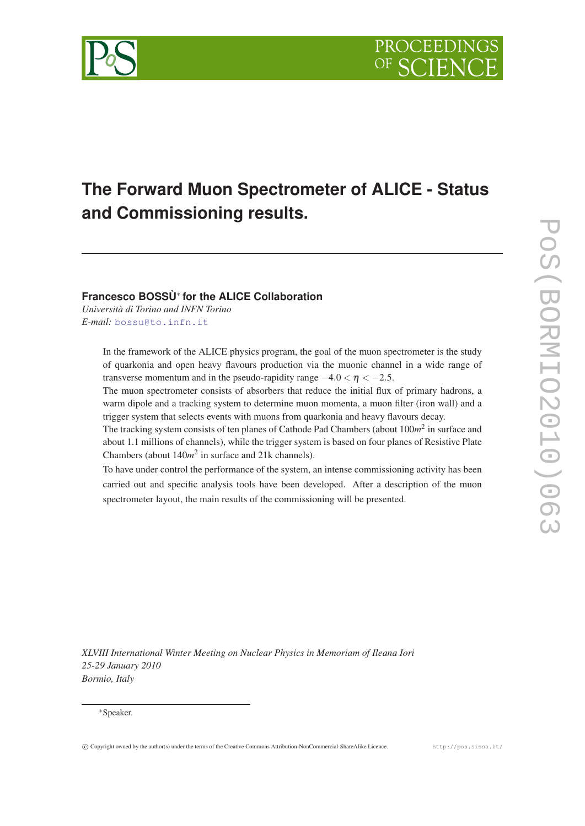

# **The Forward Muon Spectrometer of ALICE - Status and Commissioning results.**

# **Francesco BOSSÙ**<sup>∗</sup> **for the ALICE Collaboration**

*Università di Torino and INFN Torino E-mail:* [bossu@to.infn.it](mailto:bossu@to.infn.it)

> In the framework of the ALICE physics program, the goal of the muon spectrometer is the study of quarkonia and open heavy flavours production via the muonic channel in a wide range of transverse momentum and in the pseudo-rapidity range  $-4.0 < \eta < -2.5$ .

> The muon spectrometer consists of absorbers that reduce the initial flux of primary hadrons, a warm dipole and a tracking system to determine muon momenta, a muon filter (iron wall) and a trigger system that selects events with muons from quarkonia and heavy flavours decay.

> The tracking system consists of ten planes of Cathode Pad Chambers (about 100m<sup>2</sup> in surface and about 1.1 millions of channels), while the trigger system is based on four planes of Resistive Plate Chambers (about  $140m^2$  in surface and  $21k$  channels).

> To have under control the performance of the system, an intense commissioning activity has been carried out and specific analysis tools have been developed. After a description of the muon spectrometer layout, the main results of the commissioning will be presented.

POS(BORMIO2010)063 PoS(BORMIO2010)063

*XLVIII International Winter Meeting on Nuclear Physics in Memoriam of Ileana Iori 25-29 January 2010 Bormio, Italy*

## <sup>∗</sup>Speaker.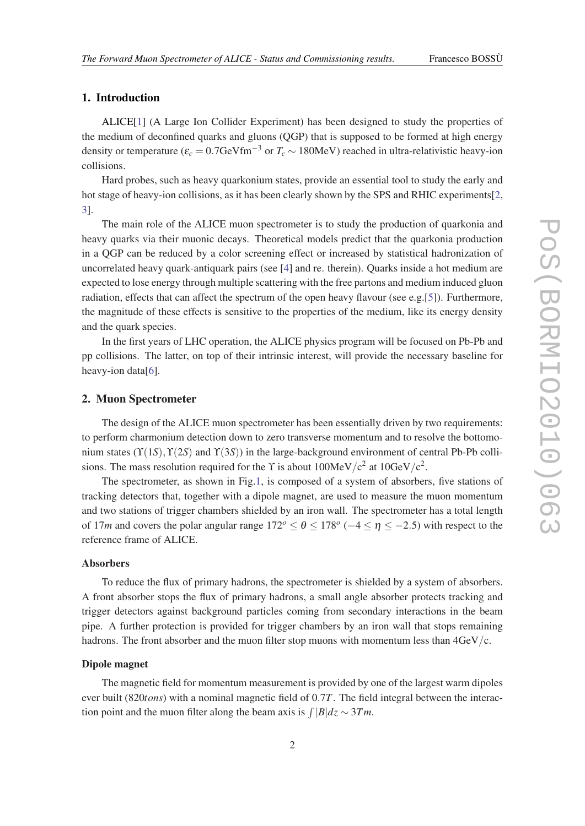# 1. Introduction

ALICE[\[1\]](#page-5-0) (A Large Ion Collider Experiment) has been designed to study the properties of the medium of deconfined quarks and gluons (QGP) that is supposed to be formed at high energy density or temperature ( $\varepsilon_c = 0.7$ GeVfm<sup>-3</sup> or  $T_c \sim 180$ MeV) reached in ultra-relativistic heavy-ion collisions.

Hard probes, such as heavy quarkonium states, provide an essential tool to study the early and hot stage of heavy-ion collisions, as it has been clearly shown by the SPS and RHIC experiments[[2](#page-5-0), [3\]](#page-5-0).

The main role of the ALICE muon spectrometer is to study the production of quarkonia and heavy quarks via their muonic decays. Theoretical models predict that the quarkonia production in a QGP can be reduced by a color screening effect or increased by statistical hadronization of uncorrelated heavy quark-antiquark pairs (see [[4](#page-5-0)] and re. therein). Quarks inside a hot medium are expected to lose energy through multiple scattering with the free partons and medium induced gluon radiation, effects that can affect the spectrum of the open heavy flavour (see e.g.[[5](#page-5-0)]). Furthermore, the magnitude of these effects is sensitive to the properties of the medium, like its energy density and the quark species.

In the first years of LHC operation, the ALICE physics program will be focused on Pb-Pb and pp collisions. The latter, on top of their intrinsic interest, will provide the necessary baseline for heavy-ion data[\[6\]](#page-5-0).

### 2. Muon Spectrometer

The design of the ALICE muon spectrometer has been essentially driven by two requirements: to perform charmonium detection down to zero transverse momentum and to resolve the bottomonium states ( $\Upsilon(1S)$ ,  $\Upsilon(2S)$  and  $\Upsilon(3S)$ ) in the large-background environment of central Pb-Pb collisions. The mass resolution required for the Y is about  $100$ MeV/ $c^2$  at  $10$ GeV/ $c^2$ .

The spectrometer, as shown in Fig[.1,](#page-2-0) is composed of a system of absorbers, five stations of tracking detectors that, together with a dipole magnet, are used to measure the muon momentum and two stations of trigger chambers shielded by an iron wall. The spectrometer has a total length of 17*m* and covers the polar angular range  $172^{\circ} \le \theta \le 178^{\circ}$  ( $-4 \le \eta \le -2.5$ ) with respect to the reference frame of ALICE.

#### Absorbers

To reduce the flux of primary hadrons, the spectrometer is shielded by a system of absorbers. A front absorber stops the flux of primary hadrons, a small angle absorber protects tracking and trigger detectors against background particles coming from secondary interactions in the beam pipe. A further protection is provided for trigger chambers by an iron wall that stops remaining hadrons. The front absorber and the muon filter stop muons with momentum less than  $4GeV/c$ .

#### Dipole magnet

The magnetic field for momentum measurement is provided by one of the largest warm dipoles ever built (820*tons*) with a nominal magnetic field of 0.7*T*. The field integral between the interaction point and the muon filter along the beam axis is  $\int |B| dz \sim 3Tm$ .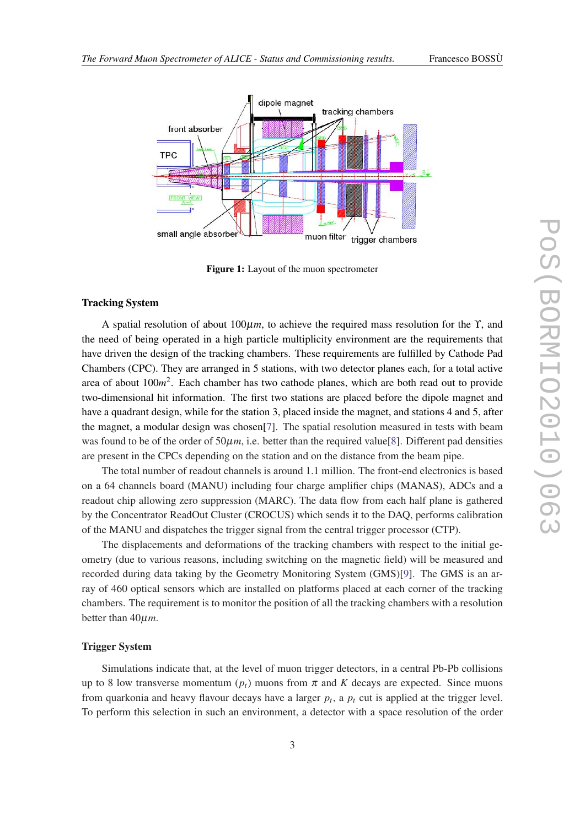<span id="page-2-0"></span>

Figure 1: Layout of the muon spectrometer

#### Tracking System

A spatial resolution of about 100µ*m*, to achieve the required mass resolution for the ϒ, and the need of being operated in a high particle multiplicity environment are the requirements that have driven the design of the tracking chambers. These requirements are fulfilled by Cathode Pad Chambers (CPC). They are arranged in 5 stations, with two detector planes each, for a total active area of about 100*m* 2 . Each chamber has two cathode planes, which are both read out to provide two-dimensional hit information. The first two stations are placed before the dipole magnet and have a quadrant design, while for the station 3, placed inside the magnet, and stations 4 and 5, after the magnet, a modular design was chosen[\[7\]](#page-5-0). The spatial resolution measured in tests with beam was found to be of the order of  $50\mu m$ , i.e. better than the required value[\[8\]](#page-5-0). Different pad densities are present in the CPCs depending on the station and on the distance from the beam pipe.

The total number of readout channels is around 1.1 million. The front-end electronics is based on a 64 channels board (MANU) including four charge amplifier chips (MANAS), ADCs and a readout chip allowing zero suppression (MARC). The data flow from each half plane is gathered by the Concentrator ReadOut Cluster (CROCUS) which sends it to the DAQ, performs calibration of the MANU and dispatches the trigger signal from the central trigger processor (CTP).

The displacements and deformations of the tracking chambers with respect to the initial geometry (due to various reasons, including switching on the magnetic field) will be measured and recorded during data taking by the Geometry Monitoring System (GMS)[[9](#page-5-0)]. The GMS is an array of 460 optical sensors which are installed on platforms placed at each corner of the tracking chambers. The requirement is to monitor the position of all the tracking chambers with a resolution better than 40µ*m*.

#### Trigger System

Simulations indicate that, at the level of muon trigger detectors, in a central Pb-Pb collisions up to 8 low transverse momentum  $(p_t)$  muons from  $\pi$  and K decays are expected. Since muons from quarkonia and heavy flavour decays have a larger *p<sup>t</sup>* , a *p<sup>t</sup>* cut is applied at the trigger level. To perform this selection in such an environment, a detector with a space resolution of the order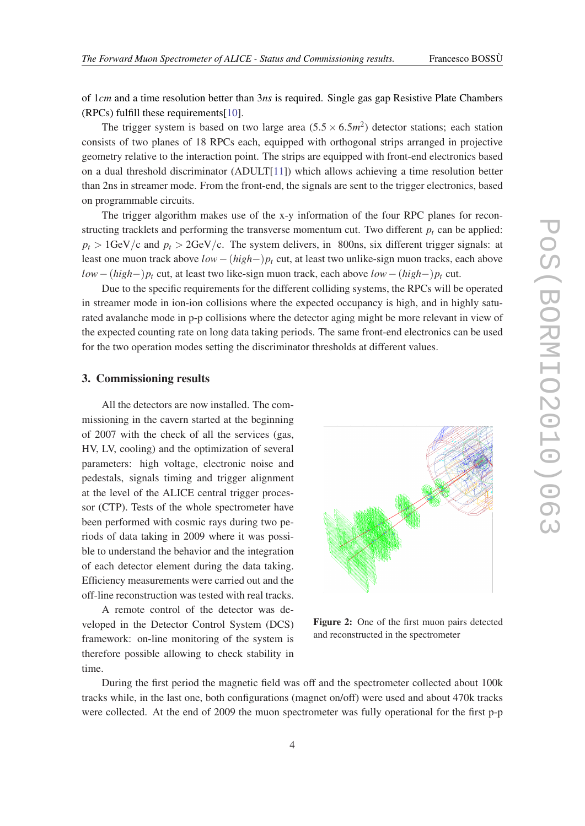<span id="page-3-0"></span>of 1*cm* and a time resolution better than 3*ns* is required. Single gas gap Resistive Plate Chambers (RPCs) fulfill these requirements[[10\]](#page-5-0).

The trigger system is based on two large area  $(5.5 \times 6.5m^2)$  detector stations; each station consists of two planes of 18 RPCs each, equipped with orthogonal strips arranged in projective geometry relative to the interaction point. The strips are equipped with front-end electronics based on a dual threshold discriminator (ADULT[\[11](#page-5-0)]) which allows achieving a time resolution better than 2ns in streamer mode. From the front-end, the signals are sent to the trigger electronics, based on programmable circuits.

The trigger algorithm makes use of the x-y information of the four RPC planes for reconstructing tracklets and performing the transverse momentum cut. Two different  $p_t$  can be applied:  $p_t > 1$ GeV/c and  $p_t > 2$ GeV/c. The system delivers, in 800ns, six different trigger signals: at least one muon track above *low*−(*high*−)*p<sup>t</sup>* cut, at least two unlike-sign muon tracks, each above *low*−(*high*−)*p<sup>t</sup>* cut, at least two like-sign muon track, each above *low*−(*high*−)*p<sup>t</sup>* cut.

Due to the specific requirements for the different colliding systems, the RPCs will be operated in streamer mode in ion-ion collisions where the expected occupancy is high, and in highly saturated avalanche mode in p-p collisions where the detector aging might be more relevant in view of the expected counting rate on long data taking periods. The same front-end electronics can be used for the two operation modes setting the discriminator thresholds at different values.

# 3. Commissioning results

All the detectors are now installed. The commissioning in the cavern started at the beginning of 2007 with the check of all the services (gas, HV, LV, cooling) and the optimization of several parameters: high voltage, electronic noise and pedestals, signals timing and trigger alignment at the level of the ALICE central trigger processor (CTP). Tests of the whole spectrometer have been performed with cosmic rays during two periods of data taking in 2009 where it was possible to understand the behavior and the integration of each detector element during the data taking. Efficiency measurements were carried out and the off-line reconstruction was tested with real tracks.

A remote control of the detector was developed in the Detector Control System (DCS) framework: on-line monitoring of the system is therefore possible allowing to check stability in time.



Figure 2: One of the first muon pairs detected and reconstructed in the spectrometer

During the first period the magnetic field was off and the spectrometer collected about 100k tracks while, in the last one, both configurations (magnet on/off) were used and about 470k tracks were collected. At the end of 2009 the muon spectrometer was fully operational for the first p-p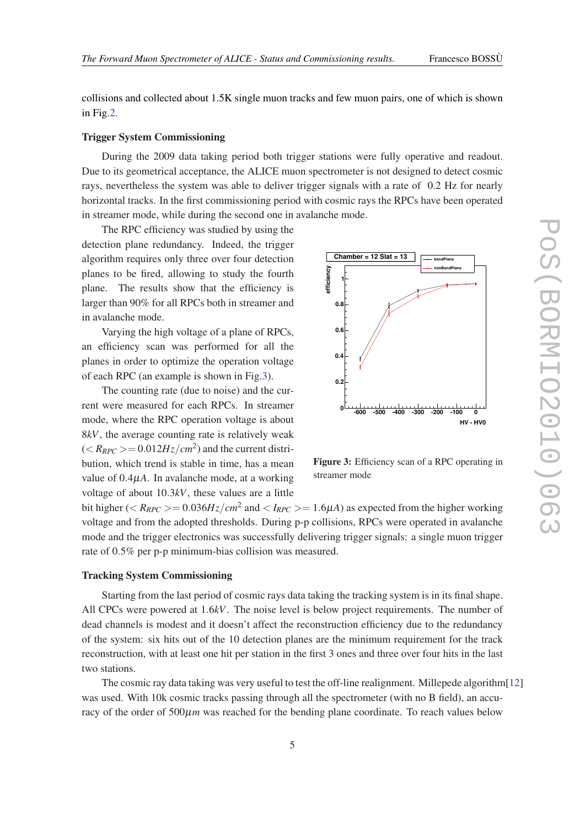collisions and collected about 1.5K single muon tracks and few muon pairs, one of which is shown in Fig.[2](#page-3-0).

# Trigger System Commissioning

During the 2009 data taking period both trigger stations were fully operative and readout. Due to its geometrical acceptance, the ALICE muon spectrometer is not designed to detect cosmic rays, nevertheless the system was able to deliver trigger signals with a rate of 0.2 Hz for nearly horizontal tracks. In the first commissioning period with cosmic rays the RPCs have been operated in streamer mode, while during the second one in avalanche mode.

The RPC efficiency was studied by using the detection plane redundancy. Indeed, the trigger algorithm requires only three over four detection planes to be fired, allowing to study the fourth plane. The results show that the efficiency is larger than 90% for all RPCs both in streamer and in avalanche mode.

Varying the high voltage of a plane of RPCs, an efficiency scan was performed for all the planes in order to optimize the operation voltage of each RPC (an example is shown in Fig.3).

The counting rate (due to noise) and the current were measured for each RPCs. In streamer mode, where the RPC operation voltage is about 8*kV*, the average counting rate is relatively weak  $\left(\langle R_{RPC}\right\rangle = 0.012 Hz/cm^2$  and the current distribution, which trend is stable in time, has a mean value of 0.4µ*A*. In avalanche mode, at a working voltage of about 10.3*kV*, these values are a little



Figure 3: Efficiency scan of a RPC operating in streamer mode

bit higher ( $\langle R_{RPC}\rangle = 0.036 Hz/cm^2$  and  $\langle I_{RPC}\rangle = 1.6 \mu A$ ) as expected from the higher working voltage and from the adopted thresholds. During p-p collisions, RPCs were operated in avalanche mode and the trigger electronics was successfully delivering trigger signals: a single muon trigger rate of 0.5% per p-p minimum-bias collision was measured.

## Tracking System Commissioning

Starting from the last period of cosmic rays data taking the tracking system is in its final shape. All CPCs were powered at 1.6*kV*. The noise level is below project requirements. The number of dead channels is modest and it doesn't affect the reconstruction efficiency due to the redundancy of the system: six hits out of the 10 detection planes are the minimum requirement for the track reconstruction, with at least one hit per station in the first 3 ones and three over four hits in the last two stations.

The cosmic ray data taking was very useful to test the off-line realignment. Millepede algorithm[\[12](#page-5-0)] was used. With 10k cosmic tracks passing through all the spectrometer (with no B field), an accuracy of the order of  $500 \mu m$  was reached for the bending plane coordinate. To reach values below